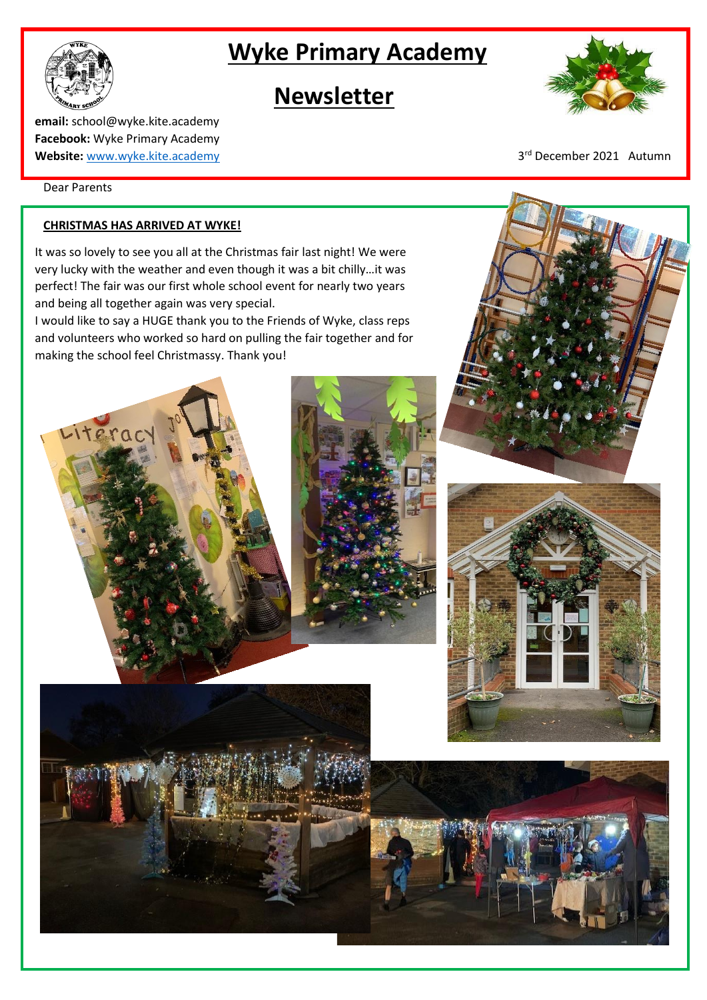# **Wyke Primary Academy**

## **Newsletter**

**email:** school@wyke.kite.academy **Facebook:** Wyke Primary Academy **Website:** [www.wyke.kite.academy](http://www.wyke.kite.academy/) 3

Dear Parents

Literac

### **CHRISTMAS HAS ARRIVED AT WYKE!**

It was so lovely to see you all at the Christmas fair last night! We were very lucky with the weather and even though it was a bit chilly…it was perfect! The fair was our first whole school event for nearly two years and being all together again was very special.

I would like to say a HUGE thank you to the Friends of Wyke, class reps and volunteers who worked so hard on pulling the fair together and for making the school feel Christmassy. Thank you!





3rd December 2021 Autumn



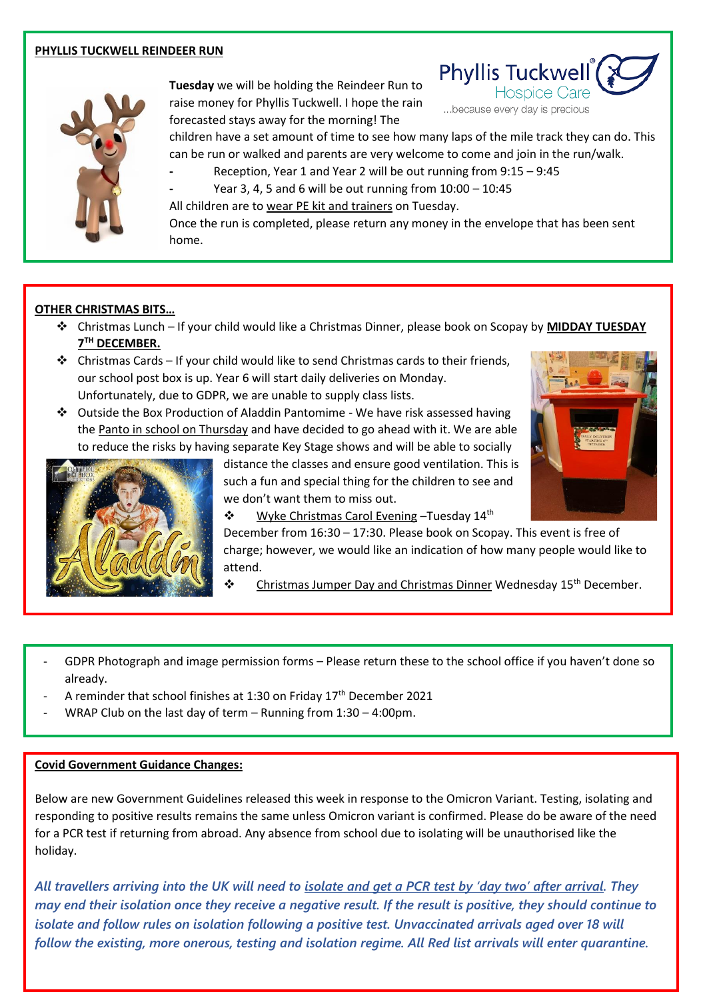#### **PHYLLIS TUCKWELL REINDEER RUN**



**Tuesday** we will be holding the Reindeer Run to raise money for Phyllis Tuckwell. I hope the rain forecasted stays away for the morning! The



...because every day is precious

children have a set amount of time to see how many laps of the mile track they can do. This can be run or walked and parents are very welcome to come and join in the run/walk.

**-** Reception, Year 1 and Year 2 will be out running from 9:15 – 9:45

**-** Year 3, 4, 5 and 6 will be out running from 10:00 – 10:45

All children are to wear PE kit and trainers on Tuesday. Once the run is completed, please return any money in the envelope that has been sent home.

#### **OTHER CHRISTMAS BITS…**

- ❖ Christmas Lunch If your child would like a Christmas Dinner, please book on Scopay by **MIDDAY TUESDAY**   $7^{\text{TH}}$  **DECEMBER.**
- ❖ Christmas Cards If your child would like to send Christmas cards to their friends, our school post box is up. Year 6 will start daily deliveries on Monday. Unfortunately, due to GDPR, we are unable to supply class lists.
- ❖ Outside the Box Production of Aladdin Pantomime We have risk assessed having the Panto in school on Thursday and have decided to go ahead with it. We are able to reduce the risks by having separate Key Stage shows and will be able to socially

distance the classes and ensure good ventilation. This is such a fun and special thing for the children to see and we don't want them to miss out.





❖ Wyke Christmas Carol Evening –Tuesday 14th

December from 16:30 – 17:30. Please book on Scopay. This event is free of charge; however, we would like an indication of how many people would like to attend.

- $\mathbf{\hat{P}}$  Christmas Jumper Day and Christmas Dinner Wednesday 15<sup>th</sup> December.
- GDPR Photograph and image permission forms Please return these to the school office if you haven't done so already.
- A reminder that school finishes at 1:30 on Friday 17<sup>th</sup> December 2021
- WRAP Club on the last day of term Running from  $1:30 4:00$ pm.

### **Covid Government Guidance Changes:**

Below are new Government Guidelines released this week in response to the Omicron Variant. Testing, isolating and responding to positive results remains the same unless Omicron variant is confirmed. Please do be aware of the need for a PCR test if returning from abroad. Any absence from school due to isolating will be unauthorised like the holiday.

*All travellers arriving into the UK will need to isolate and get a PCR test by 'day two' after arrival. They may end their isolation once they receive a negative result. If the result is positive, they should continue to isolate and follow rules on isolation following a positive test. Unvaccinated arrivals aged over 18 will follow the existing, more onerous, testing and isolation regime. All Red list arrivals will enter quarantine.*